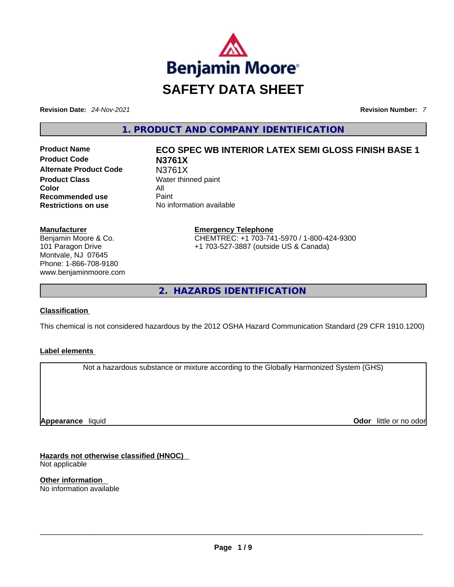

**Revision Date:** *24-Nov-2021* **Revision Number:** *7*

**1. PRODUCT AND COMPANY IDENTIFICATION** 

**Product Code N3761X Alternate Product Code** N3761X **Product Class Water thinned paint Color** All **Recommended use Paint Restrictions on use** No information available

### **Manufacturer**

Benjamin Moore & Co. 101 Paragon Drive Montvale, NJ 07645 Phone: 1-866-708-9180 www.benjaminmoore.com

# **Product Name ECO SPEC WB INTERIOR LATEX SEMI GLOSS FINISH BASE 1**

**Emergency Telephone** CHEMTREC: +1 703-741-5970 / 1-800-424-9300 +1 703-527-3887 (outside US & Canada)

**2. HAZARDS IDENTIFICATION** 

### **Classification**

This chemical is not considered hazardous by the 2012 OSHA Hazard Communication Standard (29 CFR 1910.1200)

### **Label elements**

Not a hazardous substance or mixture according to the Globally Harmonized System (GHS)

**Appearance** liquid

**Odor** little or no odor

**Hazards not otherwise classified (HNOC)**  Not applicable

**Other information**  No information available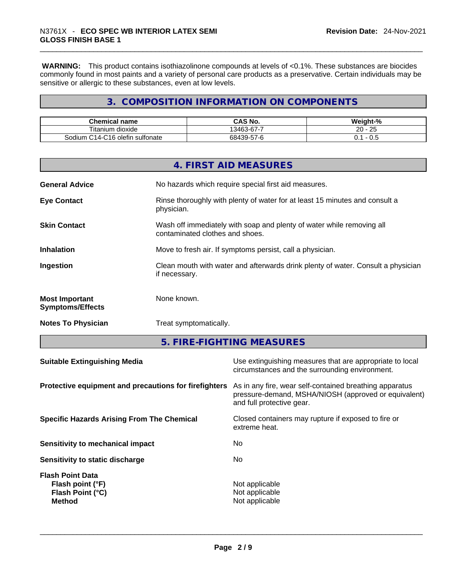**WARNING:** This product contains isothiazolinone compounds at levels of <0.1%. These substances are biocides commonly found in most paints and a variety of personal care products as a preservative. Certain individuals may be sensitive or allergic to these substances, even at low levels.

## **3. COMPOSITION INFORMATION ON COMPONENTS**

| <b>Chemical</b><br>name                                  | <b>CAS No.</b>                                     | Weight-%       |
|----------------------------------------------------------|----------------------------------------------------|----------------|
| --<br>ı dioxide<br>itanium                               | $\sim$ $\sim$ $\sim$<br>$.346^\circ$<br>-53-67 - 4 | 0E<br>20<br>Zi |
| $\sim$<br>olefin sulfonate<br>$-14 -$<br>.odium<br>∽ ۱۴ت | 139-<br>584<br>6- / د                              | v.J            |

|                                                  | 4. FIRST AID MEASURES                                                                                    |  |
|--------------------------------------------------|----------------------------------------------------------------------------------------------------------|--|
| <b>General Advice</b>                            | No hazards which require special first aid measures.                                                     |  |
| <b>Eye Contact</b>                               | Rinse thoroughly with plenty of water for at least 15 minutes and consult a<br>physician.                |  |
| <b>Skin Contact</b>                              | Wash off immediately with soap and plenty of water while removing all<br>contaminated clothes and shoes. |  |
| <b>Inhalation</b>                                | Move to fresh air. If symptoms persist, call a physician.                                                |  |
| Ingestion                                        | Clean mouth with water and afterwards drink plenty of water. Consult a physician<br>if necessary.        |  |
| <b>Most Important</b><br><b>Symptoms/Effects</b> | None known.                                                                                              |  |
| <b>Notes To Physician</b>                        | Treat symptomatically.                                                                                   |  |
|                                                  |                                                                                                          |  |

**5. FIRE-FIGHTING MEASURES** 

| <b>Suitable Extinguishing Media</b>                   | Use extinguishing measures that are appropriate to local<br>circumstances and the surrounding environment.                                   |
|-------------------------------------------------------|----------------------------------------------------------------------------------------------------------------------------------------------|
| Protective equipment and precautions for firefighters | As in any fire, wear self-contained breathing apparatus<br>pressure-demand, MSHA/NIOSH (approved or equivalent)<br>and full protective gear. |
| <b>Specific Hazards Arising From The Chemical</b>     | Closed containers may rupture if exposed to fire or<br>extreme heat.                                                                         |
| <b>Sensitivity to mechanical impact</b>               | No.                                                                                                                                          |
| Sensitivity to static discharge                       | No.                                                                                                                                          |
| <b>Flash Point Data</b>                               |                                                                                                                                              |
| Flash point (°F)                                      | Not applicable                                                                                                                               |
| Flash Point (°C)                                      | Not applicable                                                                                                                               |
| <b>Method</b>                                         | Not applicable                                                                                                                               |
|                                                       |                                                                                                                                              |
|                                                       |                                                                                                                                              |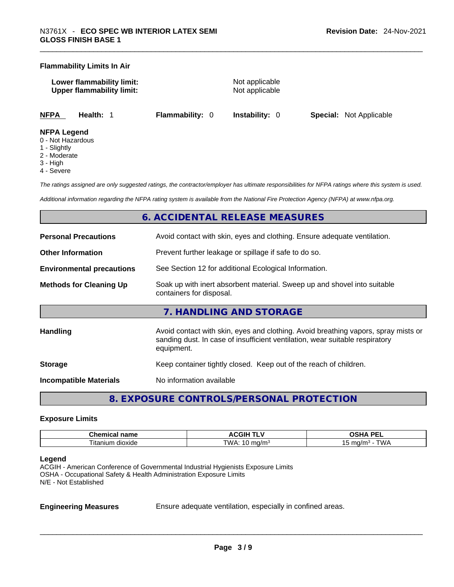### **Flammability Limits In Air**

| Lower flammability limit:        | Not applicable |
|----------------------------------|----------------|
| <b>Upper flammability limit:</b> | Not applicable |
|                                  |                |

**NFPA Health:** 1 **Flammability:** 0 **Instability:** 0 **Special:** Not Applicable

### **NFPA Legend**

- 0 Not Hazardous
- 1 Slightly
- 2 Moderate
- 3 High
- 4 Severe

*The ratings assigned are only suggested ratings, the contractor/employer has ultimate responsibilities for NFPA ratings where this system is used.* 

*Additional information regarding the NFPA rating system is available from the National Fire Protection Agency (NFPA) at www.nfpa.org.* 

### **6. ACCIDENTAL RELEASE MEASURES**

| <b>Personal Precautions</b>                                                                                                            | Avoid contact with skin, eyes and clothing. Ensure adequate ventilation.                                                                                                         |
|----------------------------------------------------------------------------------------------------------------------------------------|----------------------------------------------------------------------------------------------------------------------------------------------------------------------------------|
| <b>Other Information</b>                                                                                                               | Prevent further leakage or spillage if safe to do so.                                                                                                                            |
| <b>Environmental precautions</b>                                                                                                       | See Section 12 for additional Ecological Information.                                                                                                                            |
| Soak up with inert absorbent material. Sweep up and shovel into suitable<br><b>Methods for Cleaning Up</b><br>containers for disposal. |                                                                                                                                                                                  |
|                                                                                                                                        | 7. HANDLING AND STORAGE                                                                                                                                                          |
| Handling                                                                                                                               | Avoid contact with skin, eyes and clothing. Avoid breathing vapors, spray mists or<br>sanding dust. In case of insufficient ventilation, wear suitable respiratory<br>equipment. |
| <b>Storage</b>                                                                                                                         | Keep container tightly closed. Keep out of the reach of children.                                                                                                                |
|                                                                                                                                        |                                                                                                                                                                                  |

**Incompatible Materials** No information available

**8. EXPOSURE CONTROLS/PERSONAL PROTECTION** 

### **Exposure Limits**

| $P_{\rm max}$<br>…ner<br>шсаг<br>паше | . .<br>⊬اف<br>"<br>. | <b>DE</b><br>$\mathbf{r}$<br>-- |
|---------------------------------------|----------------------|---------------------------------|
| ⊓tar<br>n dioxide<br>ាបេក             | <b>TWA</b><br>17     | $ -$<br>∆ו∧ר<br>ma,             |

### **Legend**

ACGIH - American Conference of Governmental Industrial Hygienists Exposure Limits OSHA - Occupational Safety & Health Administration Exposure Limits N/E - Not Established

**Engineering Measures** Ensure adequate ventilation, especially in confined areas.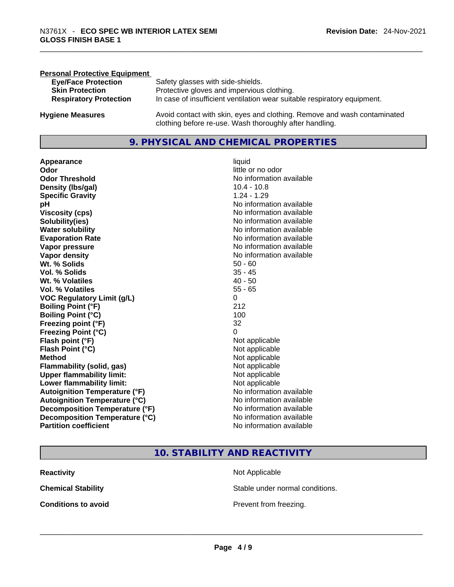| <b>Personal Protective Equipment</b> |                                                                                                                                     |
|--------------------------------------|-------------------------------------------------------------------------------------------------------------------------------------|
| <b>Eye/Face Protection</b>           | Safety glasses with side-shields.                                                                                                   |
| <b>Skin Protection</b>               | Protective gloves and impervious clothing.                                                                                          |
| <b>Respiratory Protection</b>        | In case of insufficient ventilation wear suitable respiratory equipment.                                                            |
| <b>Hygiene Measures</b>              | Avoid contact with skin, eyes and clothing. Remove and wash contaminated<br>clothing before re-use. Wash thoroughly after handling. |

### **9. PHYSICAL AND CHEMICAL PROPERTIES**

**Appearance** liquid **Odor Odor Odor Odor Odor Odor** *little* **or no odor Odor Threshold** No information available **Density (lbs/gal)** 10.4 - 10.8<br> **Specific Gravity** 1.24 - 1.29 **Specific Gravity pH pH No** information available **Viscosity (cps) Viscosity (cps) No information available Solubility(ies)** No information available **Evaporation Rate No information available No information available Vapor pressure**  No information available **No information** available **Vapor density No information available No** information available **Wt. % Solids** 50 - 60 **Vol. % Solids** 35 - 45 **Wt. % Volatiles** 40 - 50 **Vol. % Volatiles** 55 - 65 **VOC Regulatory Limit (g/L)** 0 **Boiling Point (°F)** 212 **Boiling Point (°C)** 100 **Freezing point (°F)** 32 **Freezing Point (°C)** 0 **Flash point (°F)** Not applicable **Flash Point (°C)** Not applicable **Method** Not applicable **Flammability (solid, gas)** Not applicable **Upper flammability limit:**<br> **Lower flammability limit:**<br>
Not applicable<br>
Not applicable **Lower flammability limit:**<br> **Autoignition Temperature (°F)** Not applicable Not applicable **Autoignition Temperature (°F)**<br> **Autoignition Temperature (°C)** No information available **Autoignition Temperature (°C) Decomposition Temperature (°F)** No information available **Decomposition Temperature (°C)** No information available **Partition coefficient Community Contract Contract Contract Contract Contract Contract Contract Contract Contract Contract Contract Contract Contract Contract Contract Contract Contract Contract Contract Contract Contr** 

# **No information available**

### **10. STABILITY AND REACTIVITY**

| <b>Reactivity</b>          | Not Applicable                  |
|----------------------------|---------------------------------|
| <b>Chemical Stability</b>  | Stable under normal conditions. |
| <b>Conditions to avoid</b> | Prevent from freezing.          |
|                            |                                 |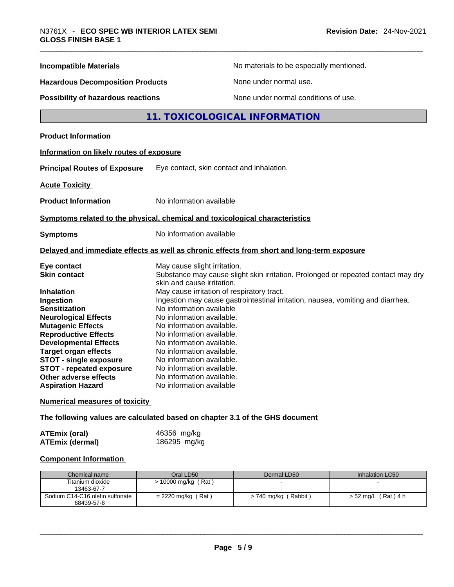| <b>Incompatible Materials</b>                                                                                                                                                                                                                                                                                                            | No materials to be especially mentioned.                                                                                                                                                                                                                                                                                                                                                                                      |
|------------------------------------------------------------------------------------------------------------------------------------------------------------------------------------------------------------------------------------------------------------------------------------------------------------------------------------------|-------------------------------------------------------------------------------------------------------------------------------------------------------------------------------------------------------------------------------------------------------------------------------------------------------------------------------------------------------------------------------------------------------------------------------|
| <b>Hazardous Decomposition Products</b>                                                                                                                                                                                                                                                                                                  | None under normal use.                                                                                                                                                                                                                                                                                                                                                                                                        |
| Possibility of hazardous reactions                                                                                                                                                                                                                                                                                                       | None under normal conditions of use.                                                                                                                                                                                                                                                                                                                                                                                          |
|                                                                                                                                                                                                                                                                                                                                          | 11. TOXICOLOGICAL INFORMATION                                                                                                                                                                                                                                                                                                                                                                                                 |
| <b>Product Information</b>                                                                                                                                                                                                                                                                                                               |                                                                                                                                                                                                                                                                                                                                                                                                                               |
| Information on likely routes of exposure                                                                                                                                                                                                                                                                                                 |                                                                                                                                                                                                                                                                                                                                                                                                                               |
| <b>Principal Routes of Exposure</b>                                                                                                                                                                                                                                                                                                      | Eye contact, skin contact and inhalation.                                                                                                                                                                                                                                                                                                                                                                                     |
| <b>Acute Toxicity</b>                                                                                                                                                                                                                                                                                                                    |                                                                                                                                                                                                                                                                                                                                                                                                                               |
| <b>Product Information</b>                                                                                                                                                                                                                                                                                                               | No information available                                                                                                                                                                                                                                                                                                                                                                                                      |
|                                                                                                                                                                                                                                                                                                                                          | Symptoms related to the physical, chemical and toxicological characteristics                                                                                                                                                                                                                                                                                                                                                  |
| <b>Symptoms</b>                                                                                                                                                                                                                                                                                                                          | No information available                                                                                                                                                                                                                                                                                                                                                                                                      |
|                                                                                                                                                                                                                                                                                                                                          | Delayed and immediate effects as well as chronic effects from short and long-term exposure                                                                                                                                                                                                                                                                                                                                    |
| Eye contact<br><b>Skin contact</b>                                                                                                                                                                                                                                                                                                       | May cause slight irritation.<br>Substance may cause slight skin irritation. Prolonged or repeated contact may dry<br>skin and cause irritation.                                                                                                                                                                                                                                                                               |
| <b>Inhalation</b><br>Ingestion<br><b>Sensitization</b><br><b>Neurological Effects</b><br><b>Mutagenic Effects</b><br><b>Reproductive Effects</b><br><b>Developmental Effects</b><br><b>Target organ effects</b><br><b>STOT - single exposure</b><br><b>STOT - repeated exposure</b><br>Other adverse effects<br><b>Aspiration Hazard</b> | May cause irritation of respiratory tract.<br>Ingestion may cause gastrointestinal irritation, nausea, vomiting and diarrhea.<br>No information available<br>No information available.<br>No information available.<br>No information available.<br>No information available.<br>No information available.<br>No information available.<br>No information available.<br>No information available.<br>No information available |

**Numerical measures of toxicity**

**The following values are calculated based on chapter 3.1 of the GHS document**

| <b>ATEmix (oral)</b>   | 46356 mg/kg  |
|------------------------|--------------|
| <b>ATEmix (dermal)</b> | 186295 mg/kg |

### **Component Information**

| Chemical name                                 | Oral LD50            | Dermal LD50              | Inhalation LC50    |
|-----------------------------------------------|----------------------|--------------------------|--------------------|
| Titanium dioxide<br>13463-67-7                | > 10000 mg/kg (Rat)  | $\overline{\phantom{0}}$ |                    |
| Sodium C14-C16 olefin sulfonate<br>68439-57-6 | $= 2220$ mg/kg (Rat) | $>$ 740 mg/kg (Rabbit)   | > 52 mg/L (Rat)4 h |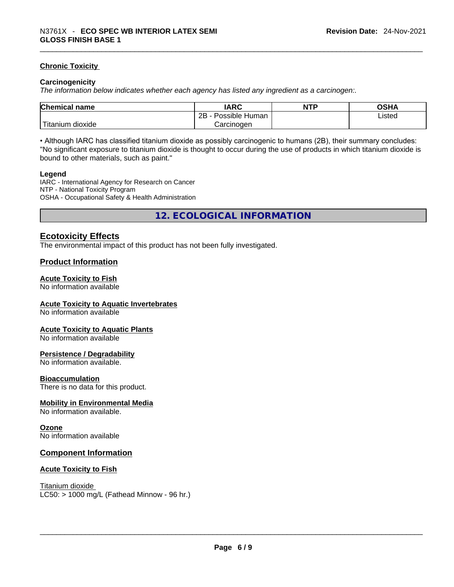### **Chronic Toxicity**

### **Carcinogenicity**

*The information below indicates whether each agency has listed any ingredient as a carcinogen:.* 

| <b>Chemical name</b>    | IARC                 | <b>NTP</b> | OSHA   |
|-------------------------|----------------------|------------|--------|
|                         | 2Β<br>Possible Human |            | Listed |
| ` Titanium 、<br>dioxide | Carcinogen           |            |        |

• Although IARC has classified titanium dioxide as possibly carcinogenic to humans (2B), their summary concludes: "No significant exposure to titanium dioxide is thought to occur during the use of products in which titanium dioxide is bound to other materials, such as paint."

### **Legend**

IARC - International Agency for Research on Cancer NTP - National Toxicity Program OSHA - Occupational Safety & Health Administration

**12. ECOLOGICAL INFORMATION** 

### **Ecotoxicity Effects**

The environmental impact of this product has not been fully investigated.

### **Product Information**

### **Acute Toxicity to Fish**

No information available

### **Acute Toxicity to Aquatic Invertebrates**

No information available

### **Acute Toxicity to Aquatic Plants**

No information available

### **Persistence / Degradability**

No information available.

### **Bioaccumulation**

There is no data for this product.

### **Mobility in Environmental Media**

No information available.

### **Ozone**

No information available

### **Component Information**

### **Acute Toxicity to Fish**

Titanium dioxide  $LC50:$  > 1000 mg/L (Fathead Minnow - 96 hr.)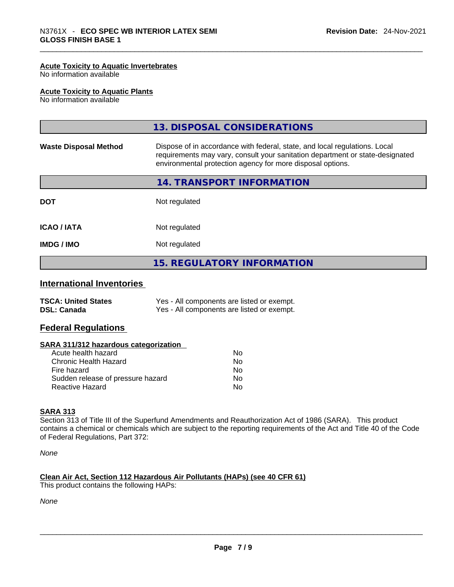### **Acute Toxicity to Aquatic Invertebrates**

No information available

### **Acute Toxicity to Aquatic Plants**

No information available

|                                                  | 13. DISPOSAL CONSIDERATIONS                                                                                                                                                                                               |
|--------------------------------------------------|---------------------------------------------------------------------------------------------------------------------------------------------------------------------------------------------------------------------------|
| <b>Waste Disposal Method</b>                     | Dispose of in accordance with federal, state, and local regulations. Local<br>requirements may vary, consult your sanitation department or state-designated<br>environmental protection agency for more disposal options. |
|                                                  | <b>14. TRANSPORT INFORMATION</b>                                                                                                                                                                                          |
| <b>DOT</b>                                       | Not regulated                                                                                                                                                                                                             |
| <b>ICAO / IATA</b>                               | Not regulated                                                                                                                                                                                                             |
| <b>IMDG / IMO</b>                                | Not regulated                                                                                                                                                                                                             |
|                                                  | <b>15. REGULATORY INFORMATION</b>                                                                                                                                                                                         |
| <b>International Inventories</b>                 |                                                                                                                                                                                                                           |
| <b>TSCA: United States</b><br><b>DSL: Canada</b> | Yes - All components are listed or exempt.<br>Yes - All components are listed or exempt.                                                                                                                                  |
| .                                                |                                                                                                                                                                                                                           |

### **Federal Regulations**

### **SARA 311/312 hazardous categorization**

| No  |
|-----|
| Nο  |
| No. |
| Nο  |
| N∩  |
|     |

### **SARA 313**

Section 313 of Title III of the Superfund Amendments and Reauthorization Act of 1986 (SARA). This product contains a chemical or chemicals which are subject to the reporting requirements of the Act and Title 40 of the Code of Federal Regulations, Part 372:

*None*

### **Clean Air Act,Section 112 Hazardous Air Pollutants (HAPs) (see 40 CFR 61)**

This product contains the following HAPs:

*None*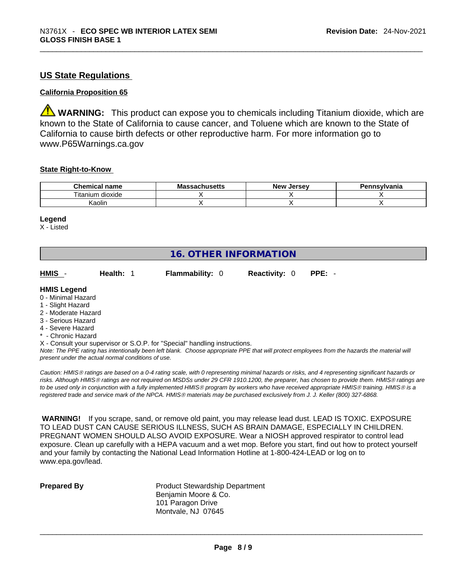## **US State Regulations**

### **California Proposition 65**

**WARNING:** This product can expose you to chemicals including Titanium dioxide, which are known to the State of California to cause cancer, and Toluene which are known to the State of California to cause birth defects or other reproductive harm. For more information go to www.P65Warnings.ca.gov

### **State Right-to-Know**

| Chemical<br>name              | Мŕ<br>, , , , , | Jersev<br><b>Nev</b> | Pennsylvania |
|-------------------------------|-----------------|----------------------|--------------|
| <br>--<br>dioxide<br>litanium |                 |                      |              |
| (aolir                        |                 |                      |              |

### **Legend**

X - Listed

# **16. OTHER INFORMATION**

| HMIS -<br>Health: 1 | <b>Flammability: 0</b> | <b>Reactivity: 0 PPE: -</b> |  |  |
|---------------------|------------------------|-----------------------------|--|--|
|---------------------|------------------------|-----------------------------|--|--|

### **HMIS Legend**

- 0 Minimal Hazard
- 1 Slight Hazard
- 2 Moderate Hazard
- 3 Serious Hazard
- 4 Severe Hazard
- **Chronic Hazard**
- X Consult your supervisor or S.O.P. for "Special" handling instructions.

Note: The PPE rating has intentionally been left blank. Choose appropriate PPE that will protect employees from the hazards the material will *present under the actual normal conditions of use.* 

*Caution: HMISÒ ratings are based on a 0-4 rating scale, with 0 representing minimal hazards or risks, and 4 representing significant hazards or risks. Although HMISÒ ratings are not required on MSDSs under 29 CFR 1910.1200, the preparer, has chosen to provide them. HMISÒ ratings are to be used only in conjunction with a fully implemented HMISÒ program by workers who have received appropriate HMISÒ training. HMISÒ is a registered trade and service mark of the NPCA. HMISÒ materials may be purchased exclusively from J. J. Keller (800) 327-6868.* 

 **WARNING!** If you scrape, sand, or remove old paint, you may release lead dust. LEAD IS TOXIC. EXPOSURE TO LEAD DUST CAN CAUSE SERIOUS ILLNESS, SUCH AS BRAIN DAMAGE, ESPECIALLY IN CHILDREN. PREGNANT WOMEN SHOULD ALSO AVOID EXPOSURE.Wear a NIOSH approved respirator to control lead exposure. Clean up carefully with a HEPA vacuum and a wet mop. Before you start, find out how to protect yourself and your family by contacting the National Lead Information Hotline at 1-800-424-LEAD or log on to www.epa.gov/lead.

**Prepared By Product Stewardship Department** Benjamin Moore & Co. 101 Paragon Drive Montvale, NJ 07645